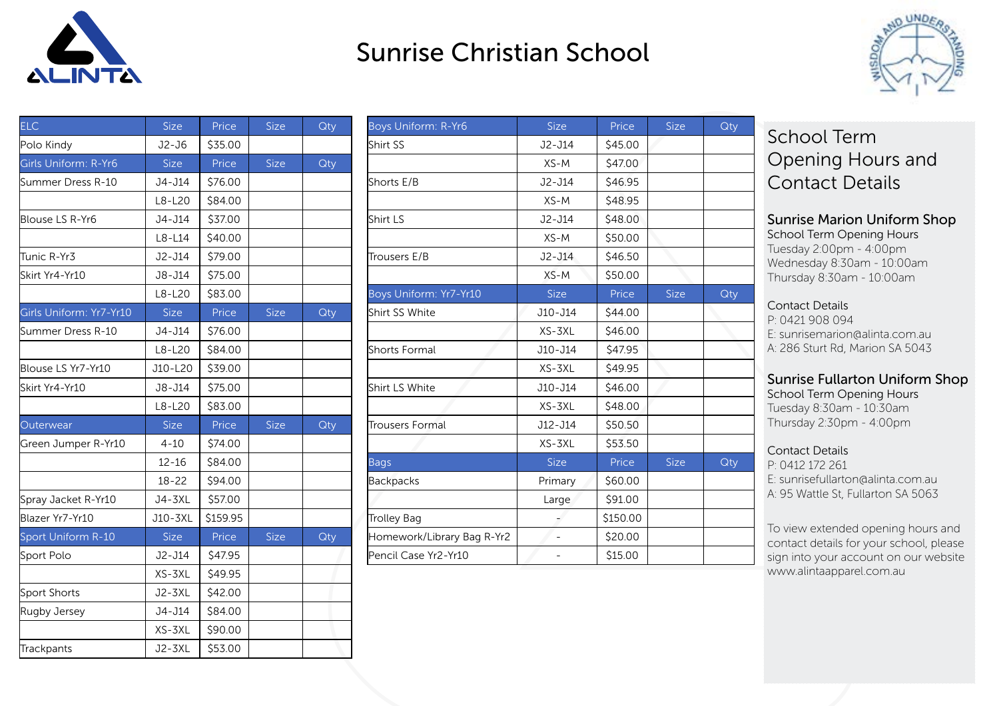

# Sunrise Christian School



| <b>ELC</b>              | <b>Size</b> | Price    | <b>Size</b> | Qty | Boys Uniform: R-Yr6        | <b>Size</b>         | Price    |
|-------------------------|-------------|----------|-------------|-----|----------------------------|---------------------|----------|
| Polo Kindy              | $J2-J6$     | \$35.00  |             |     | Shirt SS                   | J2-J14              | \$45.00  |
| Girls Uniform: R-Yr6    | <b>Size</b> | Price    | <b>Size</b> | Qty |                            | XS-M                | \$47.00  |
| Summer Dress R-10       | J4-J14      | \$76.00  |             |     | Shorts E/B                 | J2-J14              | \$46.95  |
|                         | $L8-L20$    | \$84.00  |             |     |                            | XS-M                | \$48.95  |
| Blouse LS R-Yr6         | J4-J14      | \$37.00  |             |     | Shirt LS                   | J2-J14              | \$48.00  |
|                         | $L8-L14$    | \$40.00  |             |     |                            | XS-M                | \$50.00  |
| Tunic R-Yr3             | $J2-J14$    | \$79.00  |             |     | Trousers E/B               | J2-J14              | \$46.50  |
| Skirt Yr4-Yr10          | J8-J14      | \$75.00  |             |     |                            | XS-M                | \$50.00  |
|                         | $L8-L20$    | \$83.00  |             |     | Boys Uniform: Yr7-Yr10     | Size                | Price    |
| Girls Uniform: Yr7-Yr10 | <b>Size</b> | Price    | <b>Size</b> | Qty | Shirt SS White             | J10-J14             | \$44.00  |
| Summer Dress R-10       | J4-J14      | \$76.00  |             |     |                            | XS-3XL              | \$46.00  |
|                         | $L8-L20$    | \$84.00  |             |     | Shorts Formal              | J10-J14             | \$47.95  |
| Blouse LS Yr7-Yr10      | J10-L20     | \$39.00  |             |     |                            | XS-3XL              | \$49.95  |
| Skirt Yr4-Yr10          | J8-J14      | \$75.00  |             |     | Shirt LS White             | J10-J14             | \$46.00  |
|                         | $L8-L20$    | \$83.00  |             |     |                            | XS-3XL              | \$48.00  |
| Outerwear               | <b>Size</b> | Price    | <b>Size</b> | Qty | Trousers Formal            | J12-J14             | \$50.50  |
| Green Jumper R-Yr10     | $4 - 10$    | \$74.00  |             |     |                            | XS-3XL              | \$53.50  |
|                         | $12 - 16$   | \$84.00  |             |     | <b>Bags</b>                | <b>Size</b>         | Price    |
|                         | $18 - 22$   | \$94.00  |             |     | Backpacks                  | Primary             | \$60.00  |
| Spray Jacket R-Yr10     | J4-3XL      | \$57.00  |             |     |                            | Large               | \$91.00  |
| Blazer Yr7-Yr10         | J10-3XL     | \$159.95 |             |     | Trolley Bag                | $\omega_{\rm c}$    | \$150.00 |
| Sport Uniform R-10      | <b>Size</b> | Price    | Size        | Qty | Homework/Library Bag R-Yr2 | $\bar{\phantom{a}}$ | \$20.00  |
| Sport Polo              | J2-J14      | \$47.95  |             |     | Pencil Case Yr2-Yr10       |                     | \$15.00  |
|                         | XS-3XL      | \$49.95  |             |     |                            |                     |          |
| Sport Shorts            | J2-3XL      | \$42.00  |             |     |                            |                     |          |
| Rugby Jersey            | J4-J14      | \$84.00  |             |     |                            |                     |          |
|                         | XS-3XL      | \$90.00  |             |     |                            |                     |          |
| Trackpants              | J2-3XL      | \$53.00  |             |     |                            |                     |          |

| <b>ELC</b>              | <b>Size</b> | Price    | <b>Size</b> | Qty | Boys Uniform: R-Yr6        | <b>Size</b>              | Price    | <b>Size</b> | Qty |
|-------------------------|-------------|----------|-------------|-----|----------------------------|--------------------------|----------|-------------|-----|
| Polo Kindy              | $J2-J6$     | \$35.00  |             |     | lShirt SS                  | $J2-J14$                 | \$45.00  |             |     |
| Girls Uniform: R-Yr6    | <b>Size</b> | Price    | <b>Size</b> | Qty |                            | XS-M                     | \$47.00  |             |     |
| Summer Dress R-10       | J4-J14      | \$76.00  |             |     | Shorts E/B                 | $J2-J14$                 | \$46.95  |             |     |
|                         | $L8-L20$    | \$84.00  |             |     |                            | $XS-M$                   | \$48.95  |             |     |
| Blouse LS R-Yr6         | J4-J14      | \$37.00  |             |     | <b>Shirt LS</b>            | $J2-J14$                 | \$48.00  |             |     |
|                         | $L8-L14$    | \$40.00  |             |     |                            | XS-M                     | \$50.00  |             |     |
| Tunic R-Yr3             | J2-J14      | \$79.00  |             |     | Trousers E/B               | J2-J14                   | \$46.50  |             |     |
| Skirt Yr4-Yr10          | J8-J14      | \$75.00  |             |     |                            | XS-M                     | \$50.00  |             |     |
|                         | $L8-L20$    | \$83.00  |             |     | Boys Uniform: Yr7-Yr10     | <b>Size</b>              | Price    | <b>Size</b> | Qty |
| Girls Uniform: Yr7-Yr10 | <b>Size</b> | Price    | <b>Size</b> | Qty | Shirt SS White             | J10-J14                  | \$44.00  |             |     |
| Summer Dress R-10       | J4-J14      | \$76.00  |             |     |                            | XS-3XL                   | \$46.00  |             |     |
|                         | L8-L20      | \$84.00  |             |     | Shorts Formal              | J10-J14                  | \$47.95  |             |     |
| Blouse LS Yr7-Yr10      | J10-L20     | \$39.00  |             |     |                            | XS-3XL                   | \$49.95  |             |     |
| Skirt Yr4-Yr10          | J8-J14      | \$75.00  |             |     | Shirt LS White             | J10-J14                  | \$46.00  |             |     |
|                         | $L8-L20$    | \$83.00  |             |     |                            | XS-3XL                   | \$48.00  |             |     |
| Outerwear               | <b>Size</b> | Price    | <b>Size</b> | Qty | <b>Trousers Formal</b>     | J12-J14                  | \$50.50  |             |     |
| Green Jumper R-Yr10     | $4 - 10$    | \$74.00  |             |     |                            | XS-3XL                   | \$53.50  |             |     |
|                         | $12 - 16$   | \$84.00  |             |     | <b>Bags</b>                | <b>Size</b>              | Price    | <b>Size</b> | Qty |
|                         | $18 - 22$   | \$94.00  |             |     | <b>Backpacks</b>           | Primary                  | \$60.00  |             |     |
| Spray Jacket R-Yr10     | J4-3XL      | \$57.00  |             |     |                            | Large                    | \$91.00  |             |     |
| Blazer Yr7-Yr10         | J10-3XL     | \$159.95 |             |     | <b>Trolley Bag</b>         |                          | \$150.00 |             |     |
| Sport Uniform R-10      | <b>Size</b> | Price    | <b>Size</b> | Qty | Homework/Library Bag R-Yr2 | $\equiv$                 | \$20.00  |             |     |
| Sport Polo              | J2-J14      | \$47.95  |             |     | Pencil Case Yr2-Yr10       | $\overline{\phantom{a}}$ | \$15.00  |             |     |
|                         |             |          |             |     |                            |                          |          |             |     |

# School Term Opening Hours and Contact Details

## Sunrise Marion Uniform Shop

School Term Opening Hours Tuesday 2:00pm - 4:00pm Wednesday 8:30am - 10:00am Thursday 8:30am - 10:00am

#### Contact Details

P: 0421 908 094 E: sunrisemarion@alinta.com.au A: 286 Sturt Rd, Marion SA 5043

### Sunrise Fullarton Uniform Shop

School Term Opening Hours Tuesday 8:30am - 10:30am Thursday 2:30pm - 4:00pm

#### Contact Details

P: 0412 172 261 E: sunrisefullarton@alinta.com.au A: 95 Wattle St, Fullarton SA 5063

To view extended opening hours and contact details for your school, please sign into your account on our website www.alintaapparel.com.au